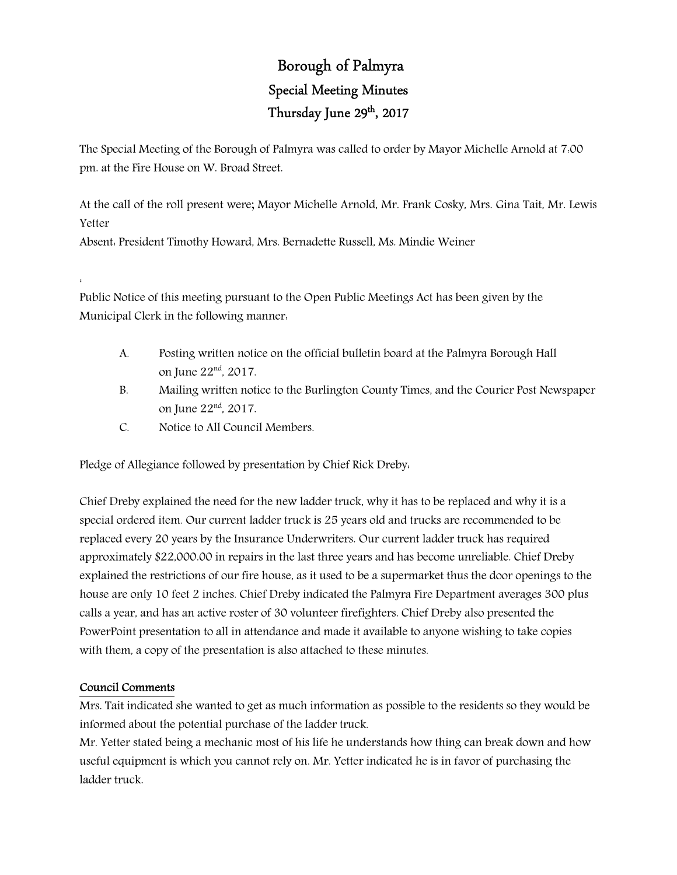## Borough of Palmyra Special Meeting Minutes Thursday June 29<sup>th</sup>, 2017

The Special Meeting of the Borough of Palmyra was called to order by Mayor Michelle Arnold at 7:00 pm. at the Fire House on W. Broad Street.

At the call of the roll present were; Mayor Michelle Arnold, Mr. Frank Cosky, Mrs. Gina Tait, Mr. Lewis Yetter

Absent: President Timothy Howard, Mrs. Bernadette Russell, Ms. Mindie Weiner

Public Notice of this meeting pursuant to the Open Public Meetings Act has been given by the Municipal Clerk in the following manner:

- A. Posting written notice on the official bulletin board at the Palmyra Borough Hall on June 22nd, 2017.
- B. Mailing written notice to the Burlington County Times, and the Courier Post Newspaper on June 22nd, 2017.
- C. Notice to All Council Members.

Pledge of Allegiance followed by presentation by Chief Rick Dreby:

Chief Dreby explained the need for the new ladder truck, why it has to be replaced and why it is a special ordered item. Our current ladder truck is 25 years old and trucks are recommended to be replaced every 20 years by the Insurance Underwriters. Our current ladder truck has required approximately \$22,000.00 in repairs in the last three years and has become unreliable. Chief Dreby explained the restrictions of our fire house, as it used to be a supermarket thus the door openings to the house are only 10 feet 2 inches. Chief Dreby indicated the Palmyra Fire Department averages 300 plus calls a year, and has an active roster of 30 volunteer firefighters. Chief Dreby also presented the PowerPoint presentation to all in attendance and made it available to anyone wishing to take copies with them, a copy of the presentation is also attached to these minutes.

## Council Comments

:

Mrs. Tait indicated she wanted to get as much information as possible to the residents so they would be informed about the potential purchase of the ladder truck.

Mr. Yetter stated being a mechanic most of his life he understands how thing can break down and how useful equipment is which you cannot rely on. Mr. Yetter indicated he is in favor of purchasing the ladder truck.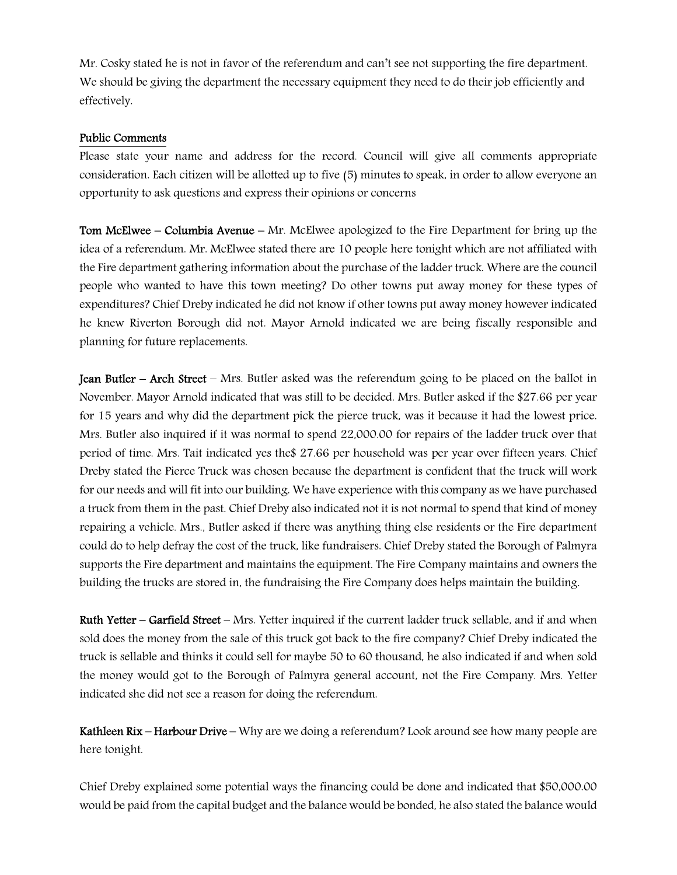Mr. Cosky stated he is not in favor of the referendum and can't see not supporting the fire department. We should be giving the department the necessary equipment they need to do their job efficiently and effectively.

## Public Comments

Please state your name and address for the record. Council will give all comments appropriate consideration. Each citizen will be allotted up to five (5) minutes to speak, in order to allow everyone an opportunity to ask questions and express their opinions or concerns

Tom McElwee – Columbia Avenue – Mr. McElwee apologized to the Fire Department for bring up the idea of a referendum. Mr. McElwee stated there are 10 people here tonight which are not affiliated with the Fire department gathering information about the purchase of the ladder truck. Where are the council people who wanted to have this town meeting? Do other towns put away money for these types of expenditures? Chief Dreby indicated he did not know if other towns put away money however indicated he knew Riverton Borough did not. Mayor Arnold indicated we are being fiscally responsible and planning for future replacements.

Jean Butler – Arch Street – Mrs. Butler asked was the referendum going to be placed on the ballot in November. Mayor Arnold indicated that was still to be decided. Mrs. Butler asked if the \$27.66 per year for 15 years and why did the department pick the pierce truck, was it because it had the lowest price. Mrs. Butler also inquired if it was normal to spend 22,000.00 for repairs of the ladder truck over that period of time. Mrs. Tait indicated yes the\$ 27.66 per household was per year over fifteen years. Chief Dreby stated the Pierce Truck was chosen because the department is confident that the truck will work for our needs and will fit into our building. We have experience with this company as we have purchased a truck from them in the past. Chief Dreby also indicated not it is not normal to spend that kind of money repairing a vehicle. Mrs., Butler asked if there was anything thing else residents or the Fire department could do to help defray the cost of the truck, like fundraisers. Chief Dreby stated the Borough of Palmyra supports the Fire department and maintains the equipment. The Fire Company maintains and owners the building the trucks are stored in, the fundraising the Fire Company does helps maintain the building.

Ruth Yetter – Garfield Street – Mrs. Yetter inquired if the current ladder truck sellable, and if and when sold does the money from the sale of this truck got back to the fire company? Chief Dreby indicated the truck is sellable and thinks it could sell for maybe 50 to 60 thousand, he also indicated if and when sold the money would got to the Borough of Palmyra general account, not the Fire Company. Mrs. Yetter indicated she did not see a reason for doing the referendum.

Kathleen Rix – Harbour Drive – Why are we doing a referendum? Look around see how many people are here tonight.

Chief Dreby explained some potential ways the financing could be done and indicated that \$50,000.00 would be paid from the capital budget and the balance would be bonded, he also stated the balance would